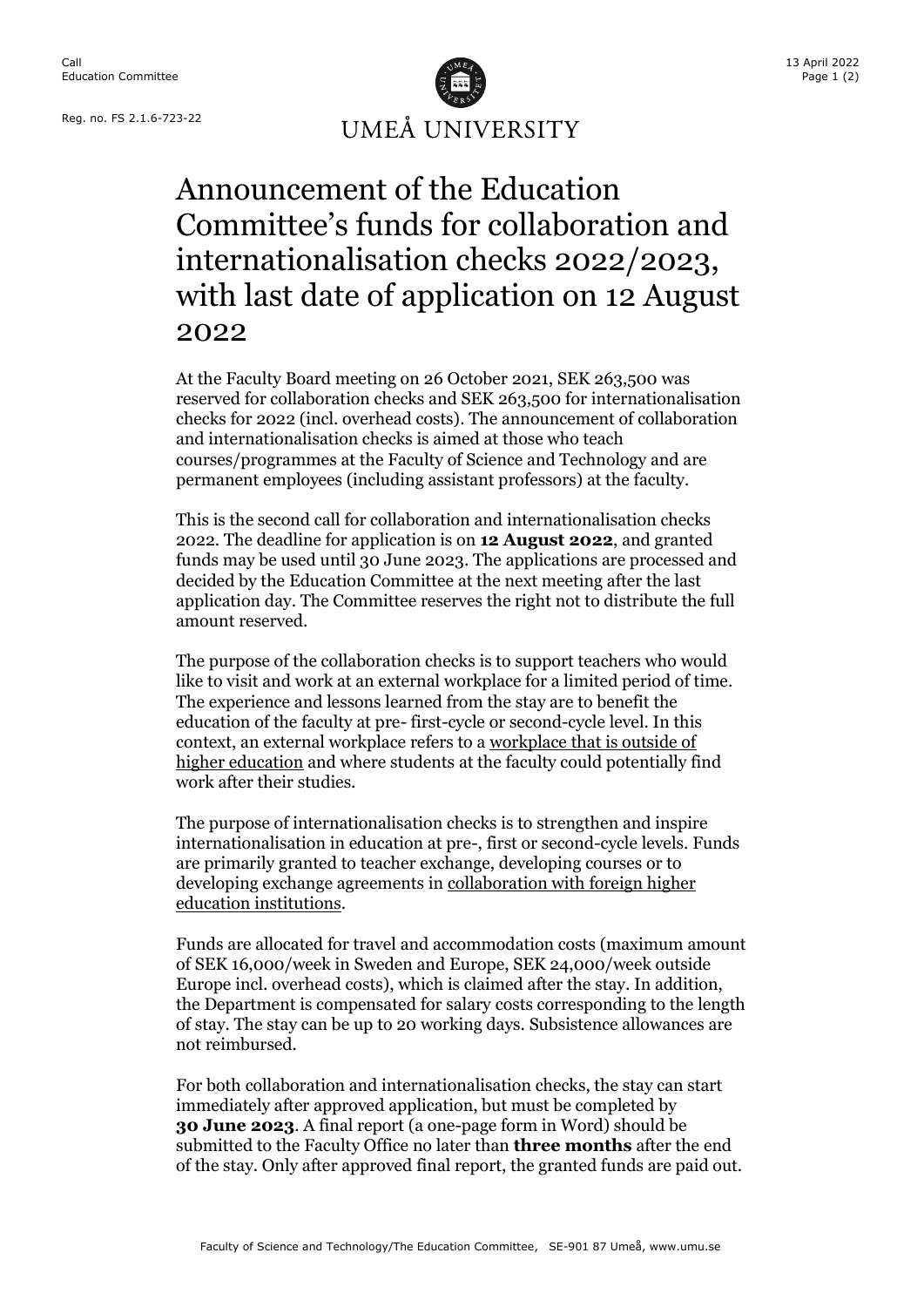Reg. no. FS 2.1.6-723-22



## Announcement of the Education Committee's funds for collaboration and internationalisation checks 2022/2023, with last date of application on 12 August 2022

At the Faculty Board meeting on 26 October 2021, SEK 263,500 was reserved for collaboration checks and SEK 263,500 for internationalisation checks for 2022 (incl. overhead costs). The announcement of collaboration and internationalisation checks is aimed at those who teach courses/programmes at the Faculty of Science and Technology and are permanent employees (including assistant professors) at the faculty.

This is the second call for collaboration and internationalisation checks 2022. The deadline for application is on **12 August 2022**, and granted funds may be used until 30 June 2023. The applications are processed and decided by the Education Committee at the next meeting after the last application day. The Committee reserves the right not to distribute the full amount reserved.

The purpose of the collaboration checks is to support teachers who would like to visit and work at an external workplace for a limited period of time. The experience and lessons learned from the stay are to benefit the education of the faculty at pre- first-cycle or second-cycle level. In this context, an external workplace refers to a workplace that is outside of higher education and where students at the faculty could potentially find work after their studies.

The purpose of internationalisation checks is to strengthen and inspire internationalisation in education at pre-, first or second-cycle levels. Funds are primarily granted to teacher exchange, developing courses or to developing exchange agreements in collaboration with foreign higher education institutions.

Funds are allocated for travel and accommodation costs (maximum amount of SEK 16,000/week in Sweden and Europe, SEK 24,000/week outside Europe incl. overhead costs), which is claimed after the stay. In addition, the Department is compensated for salary costs corresponding to the length of stay. The stay can be up to 20 working days. Subsistence allowances are not reimbursed.

For both collaboration and internationalisation checks, the stay can start immediately after approved application, but must be completed by **30 June 2023**. A final report (a one-page form in Word) should be submitted to the Faculty Office no later than **three months** after the end of the stay. Only after approved final report, the granted funds are paid out.